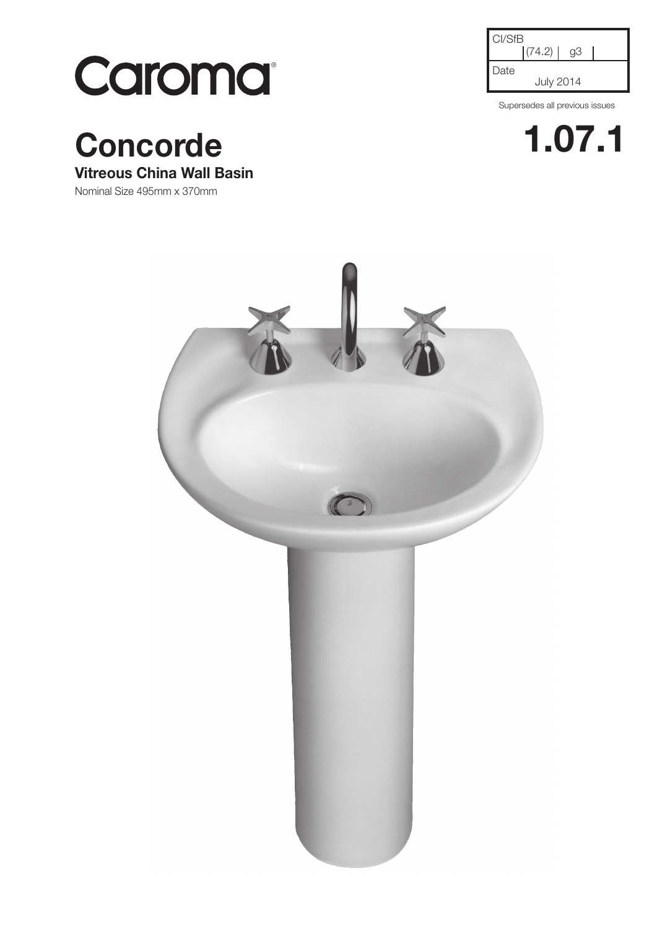

**Concorde 1.07.1**

## **Vitreous China Wall Basin**

Nominal Size 495mm x 370mm

| CI/SfB | (74.2)           | qЗ |  |
|--------|------------------|----|--|
| Date   | <b>July 2014</b> |    |  |

Supersedes all previous issues